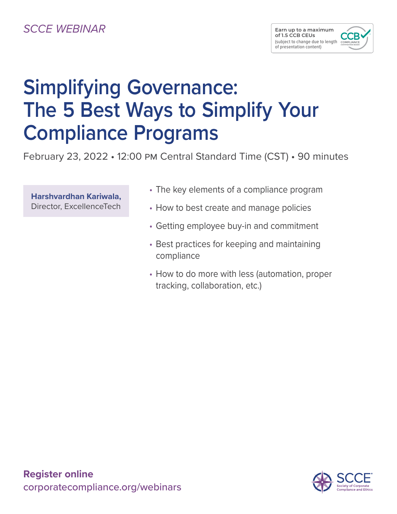# *SCCE WEBINAR*

# **Simplifying Governance: The 5 Best Ways to Simplify Your Compliance Programs**

February 23, 2022 • 12:00 pm Central Standard Time (CST) • 90 minutes

**Harshvardhan Kariwala,** Director, ExcellenceTech

- The key elements of a compliance program
- How to best create and manage policies
- Getting employee buy-in and commitment
- Best practices for keeping and maintaining compliance
- How to do more with less (automation, proper tracking, collaboration, etc.)